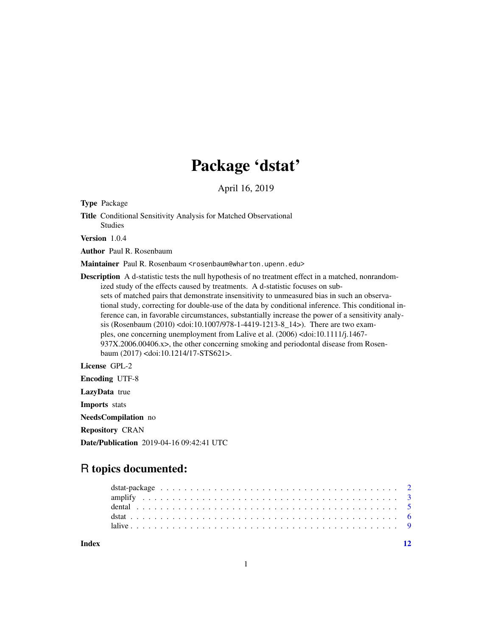# Package 'dstat'

April 16, 2019

Type Package

Title Conditional Sensitivity Analysis for Matched Observational Studies

Version 1.0.4

Author Paul R. Rosenbaum

Maintainer Paul R. Rosenbaum <rosenbaum@wharton.upenn.edu>

Description A d-statistic tests the null hypothesis of no treatment effect in a matched, nonrandomized study of the effects caused by treatments. A d-statistic focuses on subsets of matched pairs that demonstrate insensitivity to unmeasured bias in such an observational study, correcting for double-use of the data by conditional inference. This conditional inference can, in favorable circumstances, substantially increase the power of a sensitivity analysis (Rosenbaum (2010) <doi:10.1007/978-1-4419-1213-8\_14>). There are two examples, one concerning unemployment from Lalive et al. (2006) <doi:10.1111/j.1467- 937X.2006.00406.x>, the other concerning smoking and periodontal disease from Rosenbaum (2017) <doi:10.1214/17-STS621>.

# License GPL-2

Encoding UTF-8

LazyData true

Imports stats

NeedsCompilation no

Repository CRAN

Date/Publication 2019-04-16 09:42:41 UTC

# R topics documented:

**Index** [12](#page-11-0)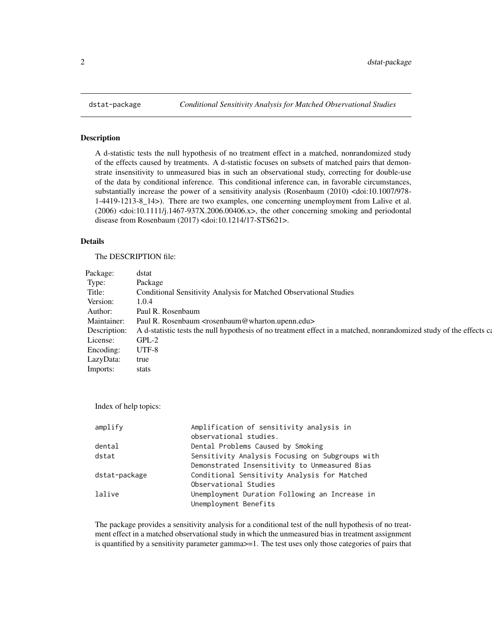#### Description

A d-statistic tests the null hypothesis of no treatment effect in a matched, nonrandomized study of the effects caused by treatments. A d-statistic focuses on subsets of matched pairs that demonstrate insensitivity to unmeasured bias in such an observational study, correcting for double-use of the data by conditional inference. This conditional inference can, in favorable circumstances, substantially increase the power of a sensitivity analysis (Rosenbaum (2010) <doi:10.1007/978-1-4419-1213-8\_14>). There are two examples, one concerning unemployment from Lalive et al. (2006) <doi:10.1111/j.1467-937X.2006.00406.x>, the other concerning smoking and periodontal disease from Rosenbaum (2017) <doi:10.1214/17-STS621>.

#### Details

The DESCRIPTION file:

| Package: dstat  |                                                                                                                                 |
|-----------------|---------------------------------------------------------------------------------------------------------------------------------|
| l'vne:          | Package                                                                                                                         |
|                 | Conditional Sensitivity Analysis for Matched Observational Studies                                                              |
| Version: 1.0.4  |                                                                                                                                 |
|                 | Author: Paul R. Rosenbaum                                                                                                       |
|                 | Maintainer: Paul R. Rosenbaum <rosenbaum@wharton.upenn.edu></rosenbaum@wharton.upenn.edu>                                       |
|                 | Description: A d-statistic tests the null hypothesis of no treatment effect in a matched, nonrandomized study of the effects ca |
| License: GPL-2  |                                                                                                                                 |
| Encoding: UTF-8 |                                                                                                                                 |
| LazyData: true  |                                                                                                                                 |
| Imports: stats  |                                                                                                                                 |

Index of help topics:

| amplify       | Amplification of sensitivity analysis in                                |
|---------------|-------------------------------------------------------------------------|
|               | observational studies.                                                  |
| dental        | Dental Problems Caused by Smoking                                       |
| dstat         | Sensitivity Analysis Focusing on Subgroups with                         |
|               | Demonstrated Insensitivity to Unmeasured Bias                           |
| dstat-package | Conditional Sensitivity Analysis for Matched                            |
|               | Observational Studies                                                   |
| lalive        | Unemployment Duration Following an Increase in<br>Unemployment Benefits |
|               |                                                                         |

The package provides a sensitivity analysis for a conditional test of the null hypothesis of no treatment effect in a matched observational study in which the unmeasured bias in treatment assignment is quantified by a sensitivity parameter gamma>=1. The test uses only those categories of pairs that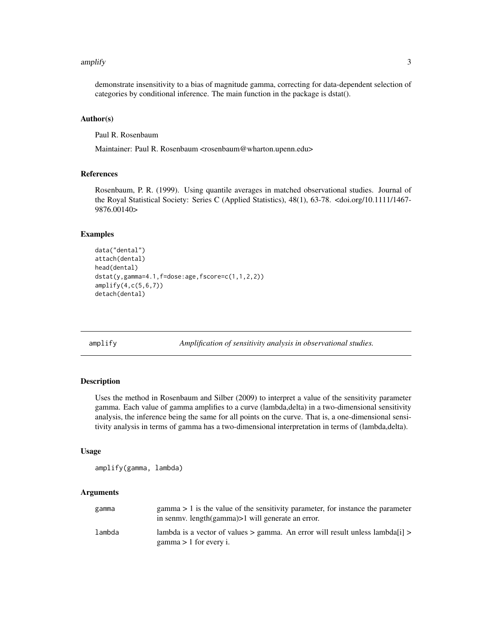#### <span id="page-2-0"></span>amplify 3

demonstrate insensitivity to a bias of magnitude gamma, correcting for data-dependent selection of categories by conditional inference. The main function in the package is dstat().

# Author(s)

Paul R. Rosenbaum

Maintainer: Paul R. Rosenbaum <rosenbaum@wharton.upenn.edu>

#### References

Rosenbaum, P. R. (1999). Using quantile averages in matched observational studies. Journal of the Royal Statistical Society: Series C (Applied Statistics), 48(1), 63-78. <doi.org/10.1111/1467- 9876.00140>

# Examples

```
data("dental")
attach(dental)
head(dental)
dstat(y,gamma=4.1,f=dose:age,fscore=c(1,1,2,2))
amplify(4,c(5,6,7))
detach(dental)
```
amplify *Amplification of sensitivity analysis in observational studies.*

# Description

Uses the method in Rosenbaum and Silber (2009) to interpret a value of the sensitivity parameter gamma. Each value of gamma amplifies to a curve (lambda,delta) in a two-dimensional sensitivity analysis, the inference being the same for all points on the curve. That is, a one-dimensional sensitivity analysis in terms of gamma has a two-dimensional interpretation in terms of (lambda,delta).

#### Usage

amplify(gamma, lambda)

#### Arguments

| gamma  | $gamma > 1$ is the value of the sensitivity parameter, for instance the parameter<br>in senmy. length(gamma) > 1 will generate an error. |
|--------|------------------------------------------------------------------------------------------------------------------------------------------|
| lambda | lambda is a vector of values $>$ gamma. An error will result unless lambda [i] $>$<br>$gamma > 1$ for every i.                           |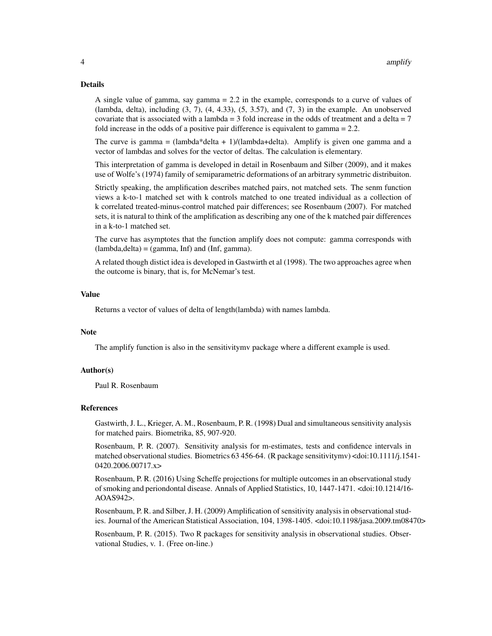#### Details

A single value of gamma, say gamma = 2.2 in the example, corresponds to a curve of values of (lambda, delta), including  $(3, 7)$ ,  $(4, 4.33)$ ,  $(5, 3.57)$ , and  $(7, 3)$  in the example. An unobserved covariate that is associated with a lambda = 3 fold increase in the odds of treatment and a delta =  $7$ fold increase in the odds of a positive pair difference is equivalent to gamma = 2.2.

The curve is gamma =  $(lambda*delta + 1)/(lambda+delta)$ . Amplify is given one gamma and a vector of lambdas and solves for the vector of deltas. The calculation is elementary.

This interpretation of gamma is developed in detail in Rosenbaum and Silber (2009), and it makes use of Wolfe's (1974) family of semiparametric deformations of an arbitrary symmetric distribuiton.

Strictly speaking, the amplification describes matched pairs, not matched sets. The senm function views a k-to-1 matched set with k controls matched to one treated individual as a collection of k correlated treated-minus-control matched pair differences; see Rosenbaum (2007). For matched sets, it is natural to think of the amplification as describing any one of the k matched pair differences in a k-to-1 matched set.

The curve has asymptotes that the function amplify does not compute: gamma corresponds with  $(lambda, delta) = (gamma, Inf)$  and  $(Inf, gamma)$ .

A related though distict idea is developed in Gastwirth et al (1998). The two approaches agree when the outcome is binary, that is, for McNemar's test.

#### Value

Returns a vector of values of delta of length(lambda) with names lambda.

#### Note

The amplify function is also in the sensitivitymv package where a different example is used.

#### Author(s)

Paul R. Rosenbaum

#### References

Gastwirth, J. L., Krieger, A. M., Rosenbaum, P. R. (1998) Dual and simultaneous sensitivity analysis for matched pairs. Biometrika, 85, 907-920.

Rosenbaum, P. R. (2007). Sensitivity analysis for m-estimates, tests and confidence intervals in matched observational studies. Biometrics 63 456-64. (R package sensitivitymv) <doi:10.1111/j.1541- 0420.2006.00717.x>

Rosenbaum, P. R. (2016) Using Scheffe projections for multiple outcomes in an observational study of smoking and periondontal disease. Annals of Applied Statistics, 10, 1447-1471. <doi:10.1214/16- AOAS942>.

Rosenbaum, P. R. and Silber, J. H. (2009) Amplification of sensitivity analysis in observational studies. Journal of the American Statistical Association, 104, 1398-1405. <doi:10.1198/jasa.2009.tm08470>

Rosenbaum, P. R. (2015). Two R packages for sensitivity analysis in observational studies. Observational Studies, v. 1. (Free on-line.)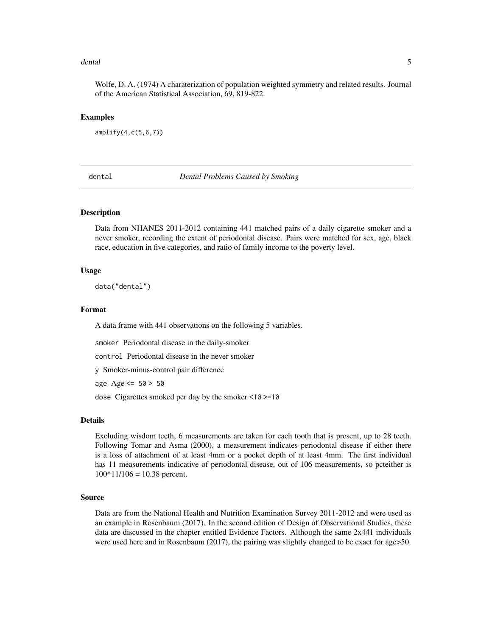#### <span id="page-4-0"></span>dental 5 and 5 and 5 and 5 and 5 and 5 and 5 and 5 and 5 and 5 and 5 and 5 and 5 and 5 and 5 and 5 and 5 and 5

Wolfe, D. A. (1974) A charaterization of population weighted symmetry and related results. Journal of the American Statistical Association, 69, 819-822.

#### Examples

amplify(4,c(5,6,7))

dental *Dental Problems Caused by Smoking*

# **Description**

Data from NHANES 2011-2012 containing 441 matched pairs of a daily cigarette smoker and a never smoker, recording the extent of periodontal disease. Pairs were matched for sex, age, black race, education in five categories, and ratio of family income to the poverty level.

#### Usage

data("dental")

# Format

A data frame with 441 observations on the following 5 variables.

smoker Periodontal disease in the daily-smoker

control Periodontal disease in the never smoker

y Smoker-minus-control pair difference

age  $Age \le 50 > 50$ 

dose Cigarettes smoked per day by the smoker <10 >=10

#### Details

Excluding wisdom teeth, 6 measurements are taken for each tooth that is present, up to 28 teeth. Following Tomar and Asma (2000), a measurement indicates periodontal disease if either there is a loss of attachment of at least 4mm or a pocket depth of at least 4mm. The first individual has 11 measurements indicative of periodontal disease, out of 106 measurements, so pcteither is  $100*11/106 = 10.38$  percent.

#### Source

Data are from the National Health and Nutrition Examination Survey 2011-2012 and were used as an example in Rosenbaum (2017). In the second edition of Design of Observational Studies, these data are discussed in the chapter entitled Evidence Factors. Although the same 2x441 individuals were used here and in Rosenbaum (2017), the pairing was slightly changed to be exact for age>50.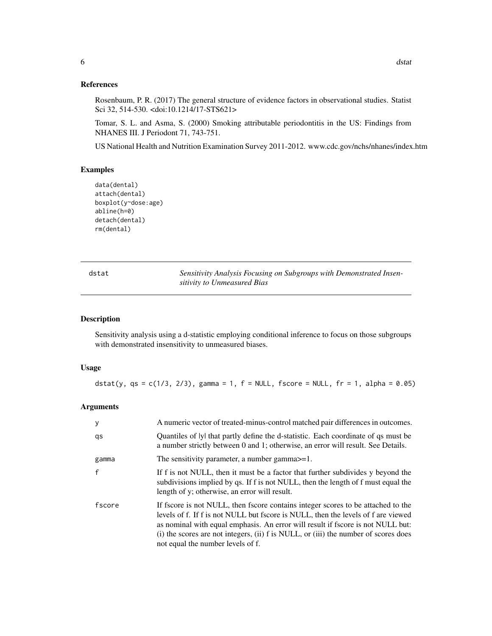# References

Rosenbaum, P. R. (2017) The general structure of evidence factors in observational studies. Statist Sci 32, 514-530. <doi:10.1214/17-STS621>

Tomar, S. L. and Asma, S. (2000) Smoking attributable periodontitis in the US: Findings from NHANES III. J Periodont 71, 743-751.

US National Health and Nutrition Examination Survey 2011-2012. www.cdc.gov/nchs/nhanes/index.htm

#### Examples

```
data(dental)
attach(dental)
boxplot(y~dose:age)
abline(h=0)
detach(dental)
rm(dental)
```

| dstat | Sensitivity Analysis Focusing on Subgroups with Demonstrated Insen- |
|-------|---------------------------------------------------------------------|
|       | sitivity to Unmeasured Bias                                         |

#### Description

Sensitivity analysis using a d-statistic employing conditional inference to focus on those subgroups with demonstrated insensitivity to unmeasured biases.

# Usage

dstat(y, qs =  $c(1/3, 2/3)$ , gamma = 1, f = NULL, fscore = NULL, fr = 1, alpha = 0.05)

#### Arguments

| y            | A numeric vector of treated-minus-control matched pair differences in outcomes.                                                                                                                                                                                                                                                                                                      |
|--------------|--------------------------------------------------------------------------------------------------------------------------------------------------------------------------------------------------------------------------------------------------------------------------------------------------------------------------------------------------------------------------------------|
| qs           | Quantiles of lyl that partly define the d-statistic. Each coordinate of qs must be<br>a number strictly between 0 and 1; otherwise, an error will result. See Details.                                                                                                                                                                                                               |
| gamma        | The sensitivity parameter, a number gamma >= 1.                                                                                                                                                                                                                                                                                                                                      |
| $\mathbf{f}$ | If f is not NULL, then it must be a factor that further subdivides y beyond the<br>subdivisions implied by qs. If f is not NULL, then the length of f must equal the<br>length of y; otherwise, an error will result.                                                                                                                                                                |
| fscore       | If fscore is not NULL, then fscore contains integer scores to be attached to the<br>levels of f. If f is not NULL but fscore is NULL, then the levels of f are viewed<br>as nominal with equal emphasis. An error will result if fscore is not NULL but:<br>(i) the scores are not integers, (ii) f is NULL, or (iii) the number of scores does<br>not equal the number levels of f. |

<span id="page-5-0"></span>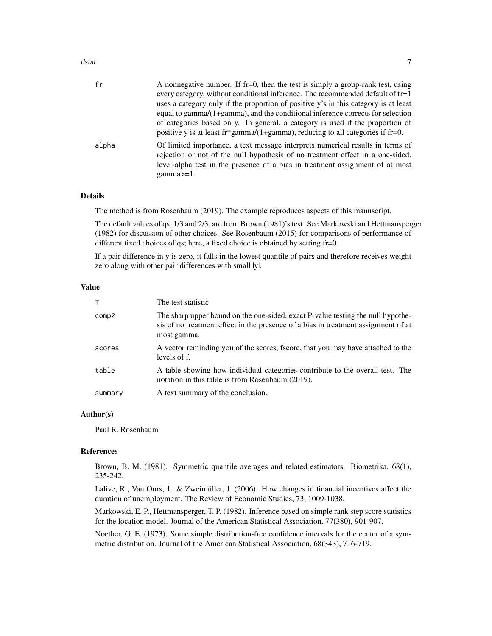#### dstat 7 august 2007 i 1999 var det af det af det af det af det af det af det af det af det af det af det af de

| fr    | A nonnegative number. If fr=0, then the test is simply a group-rank test, using<br>every category, without conditional inference. The recommended default of fr=1<br>uses a category only if the proportion of positive y's in this category is at least         |
|-------|------------------------------------------------------------------------------------------------------------------------------------------------------------------------------------------------------------------------------------------------------------------|
|       | equal to gamma/(1+gamma), and the conditional inference corrects for selection<br>of categories based on y. In general, a category is used if the proportion of<br>positive y is at least fr*gamma/(1+gamma), reducing to all categories if fr=0.                |
| alpha | Of limited importance, a text message interprets numerical results in terms of<br>rejection or not of the null hypothesis of no treatment effect in a one-sided,<br>level-alpha test in the presence of a bias in treatment assignment of at most<br>$gamma>=1.$ |

# Details

The method is from Rosenbaum (2019). The example reproduces aspects of this manuscript.

The default values of qs, 1/3 and 2/3, are from Brown (1981)'s test. See Markowski and Hettmansperger (1982) for discussion of other choices. See Rosenbaum (2015) for comparisons of performance of different fixed choices of qs; here, a fixed choice is obtained by setting fr=0.

If a pair difference in y is zero, it falls in the lowest quantile of pairs and therefore receives weight zero along with other pair differences with small lyl.

#### Value

|         | The test statistic                                                                                                                                                                   |
|---------|--------------------------------------------------------------------------------------------------------------------------------------------------------------------------------------|
| comp2   | The sharp upper bound on the one-sided, exact P-value testing the null hypothe-<br>sis of no treatment effect in the presence of a bias in treatment assignment of at<br>most gamma. |
| scores  | A vector reminding you of the scores, fscore, that you may have attached to the<br>levels of f.                                                                                      |
| table   | A table showing how individual categories contribute to the overall test. The<br>notation in this table is from Rosenbaum (2019).                                                    |
| summary | A text summary of the conclusion.                                                                                                                                                    |

#### Author(s)

Paul R. Rosenbaum

#### References

Brown, B. M. (1981). Symmetric quantile averages and related estimators. Biometrika, 68(1), 235-242.

Lalive, R., Van Ours, J., & Zweimüller, J. (2006). How changes in financial incentives affect the duration of unemployment. The Review of Economic Studies, 73, 1009-1038.

Markowski, E. P., Hettmansperger, T. P. (1982). Inference based on simple rank step score statistics for the location model. Journal of the American Statistical Association, 77(380), 901-907.

Noether, G. E. (1973). Some simple distribution-free confidence intervals for the center of a symmetric distribution. Journal of the American Statistical Association, 68(343), 716-719.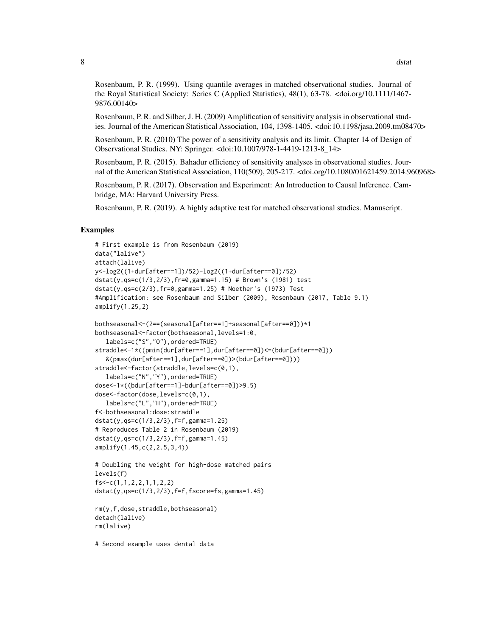Rosenbaum, P. R. (1999). Using quantile averages in matched observational studies. Journal of the Royal Statistical Society: Series C (Applied Statistics), 48(1), 63-78. <doi.org/10.1111/1467- 9876.00140>

Rosenbaum, P. R. and Silber, J. H. (2009) Amplification of sensitivity analysis in observational studies. Journal of the American Statistical Association, 104, 1398-1405. <doi:10.1198/jasa.2009.tm08470>

Rosenbaum, P. R. (2010) The power of a sensitivity analysis and its limit. Chapter 14 of Design of Observational Studies. NY: Springer. <doi:10.1007/978-1-4419-1213-8\_14>

Rosenbaum, P. R. (2015). Bahadur efficiency of sensitivity analyses in observational studies. Journal of the American Statistical Association, 110(509), 205-217. <doi.org/10.1080/01621459.2014.960968>

Rosenbaum, P. R. (2017). Observation and Experiment: An Introduction to Causal Inference. Cambridge, MA: Harvard University Press.

Rosenbaum, P. R. (2019). A highly adaptive test for matched observational studies. Manuscript.

## Examples

```
# First example is from Rosenbaum (2019)
data("lalive")
attach(lalive)
y<-log2((1+dur[after==1])/52)-log2((1+dur[after==0])/52)
dstat(y,qs=c(1/3,2/3),fr=0,gamma=1.15) # Brown's (1981) test
dstat(y,qs=c(2/3),fr=0,gamma=1.25) # Noether's (1973) Test
#Amplification: see Rosenbaum and Silber (2009), Rosenbaum (2017, Table 9.1)
amplify(1.25,2)
bothseasonal<-(2==(seasonal[after==1]+seasonal[after==0]))*1
bothseasonal<-factor(bothseasonal,levels=1:0,
  labels=c("S","O"),ordered=TRUE)
straddle<-1*((pmin(dur[after==1],dur[after==0])<=(bdur[after==0]))
```

```
&(pmax(dur[after==1],dur[after==0])>(bdur[after==0])))
straddle<-factor(straddle,levels=c(0,1),
  labels=c("N","Y"),ordered=TRUE)
dose<-1*((bdur[after==1]-bdur[after==0])>9.5)
dose<-factor(dose,levels=c(0,1),
  labels=c("L","H"),ordered=TRUE)
f<-bothseasonal:dose:straddle
dstat(y,qs=c(1/3,2/3),f=f,gamma=1.25)
# Reproduces Table 2 in Rosenbaum (2019)
dstat(y,qs=c(1/3,2/3),f=f,gamma=1.45)
amplify(1.45,c(2,2.5,3,4))
```

```
# Doubling the weight for high-dose matched pairs
levels(f)
fs<-c(1,1,2,2,1,1,2,2)
dstat(y,qs=c(1/3,2/3),f=f,fscore=fs,gamma=1.45)
```

```
rm(y,f,dose,straddle,bothseasonal)
detach(lalive)
rm(lalive)
```
# Second example uses dental data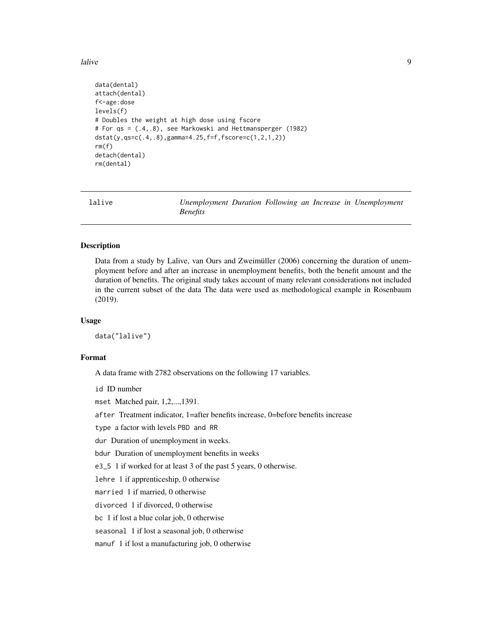<span id="page-8-0"></span>lalive 9

```
data(dental)
attach(dental)
f<-age:dose
levels(f)
# Doubles the weight at high dose using fscore
# For qs = (.4,.8), see Markowski and Hettmansperger (1982)
dstat(y,qs=c(.4,.8),gamma=4.25,f=f,fscore=c(1,2,1,2))
rm(f)
detach(dental)
rm(dental)
```

| lalive |                 |  |  | Unemployment Duration Following an Increase in Unemployment |
|--------|-----------------|--|--|-------------------------------------------------------------|
|        | <i>Benefits</i> |  |  |                                                             |

#### Description

Data from a study by Lalive, van Ours and Zweimüller (2006) concerning the duration of unemployment before and after an increase in unemployment benefits, both the benefit amount and the duration of benefits. The original study takes account of many relevant considerations not included in the current subset of the data The data were used as methodological example in Rosenbaum (2019).

#### Usage

data("lalive")

# Format

A data frame with 2782 observations on the following 17 variables.

id ID number

mset Matched pair, 1,2,...,1391.

after Treatment indicator, 1=after benefits increase, 0=before benefits increase

type a factor with levels PBD and RR

dur Duration of unemployment in weeks.

bdur Duration of unemployment benefits in weeks

e3\_5 1 if worked for at least 3 of the past 5 years, 0 otherwise.

lehre 1 if apprenticeship, 0 otherwise

married 1 if married, 0 otherwise

divorced 1 if divorced, 0 otherwise

bc 1 if lost a blue colar job, 0 otherwise

seasonal 1 if lost a seasonal job, 0 otherwise

manuf 1 if lost a manufacturing job, 0 otherwise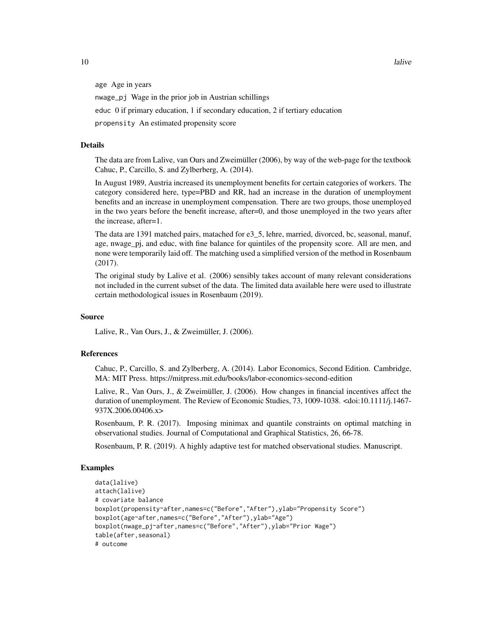age Age in years nwage\_pj Wage in the prior job in Austrian schillings educ 0 if primary education, 1 if secondary education, 2 if tertiary education

propensity An estimated propensity score

# Details

The data are from Lalive, van Ours and Zweimüller (2006), by way of the web-page for the textbook Cahuc, P., Carcillo, S. and Zylberberg, A. (2014).

In August 1989, Austria increased its unemployment benefits for certain categories of workers. The category considered here, type=PBD and RR, had an increase in the duration of unemployment benefits and an increase in unemployment compensation. There are two groups, those unemployed in the two years before the benefit increase, after=0, and those unemployed in the two years after the increase, after=1.

The data are 1391 matched pairs, matached for e3\_5, lehre, married, divorced, bc, seasonal, manuf, age, nwage pj, and educ, with fine balance for quintiles of the propensity score. All are men, and none were temporarily laid off. The matching used a simplified version of the method in Rosenbaum (2017).

The original study by Lalive et al. (2006) sensibly takes account of many relevant considerations not included in the current subset of the data. The limited data available here were used to illustrate certain methodological issues in Rosenbaum (2019).

#### Source

Lalive, R., Van Ours, J., & Zweimüller, J. (2006).

#### References

Cahuc, P., Carcillo, S. and Zylberberg, A. (2014). Labor Economics, Second Edition. Cambridge, MA: MIT Press. https://mitpress.mit.edu/books/labor-economics-second-edition

Lalive, R., Van Ours, J., & Zweimüller, J. (2006). How changes in financial incentives affect the duration of unemployment. The Review of Economic Studies, 73, 1009-1038. <doi:10.1111/j.1467- 937X.2006.00406.x>

Rosenbaum, P. R. (2017). Imposing minimax and quantile constraints on optimal matching in observational studies. Journal of Computational and Graphical Statistics, 26, 66-78.

Rosenbaum, P. R. (2019). A highly adaptive test for matched observational studies. Manuscript.

#### Examples

```
data(lalive)
attach(lalive)
# covariate balance
boxplot(propensity~after,names=c("Before","After"),ylab="Propensity Score")
boxplot(age~after,names=c("Before","After"),ylab="Age")
boxplot(nwage_pj~after,names=c("Before","After"),ylab="Prior Wage")
table(after,seasonal)
# outcome
```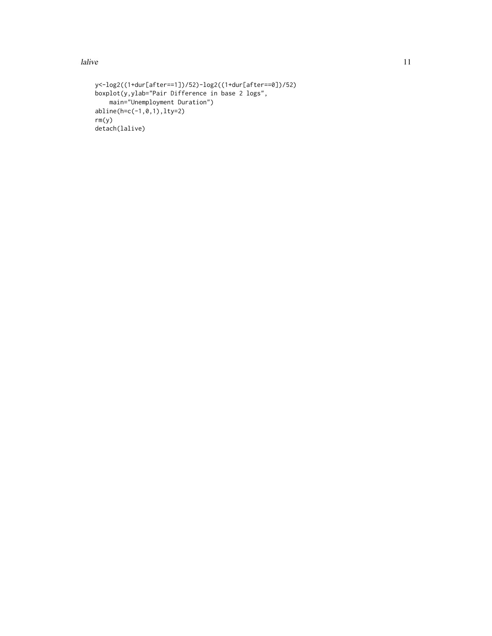lalive the contract of the contract of the contract of the contract of the contract of the contract of the contract of the contract of the contract of the contract of the contract of the contract of the contract of the con

```
y<-log2((1+dur[after==1])/52)-log2((1+dur[after==0])/52)
boxplot(y,ylab="Pair Difference in base 2 logs",
    main="Unemployment Duration")
abline(h=c(-1,0,1),lty=2)
rm(y)
detach(lalive)
```